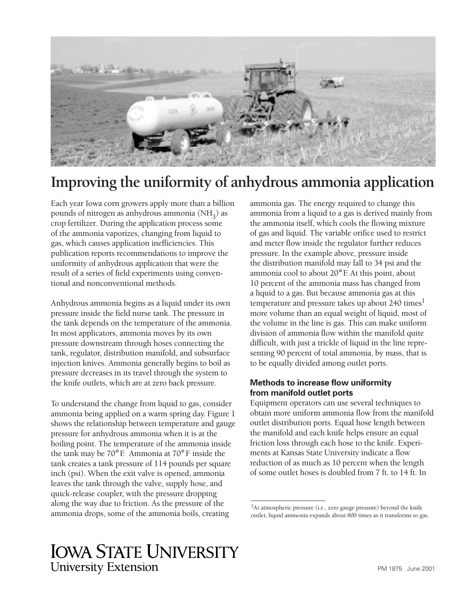

# **Improving the uniformity of anhydrous ammonia application**

Each year Iowa corn growers apply more than a billion pounds of nitrogen as anhydrous ammonia  $(NH_3)$  as crop fertilizer. During the application process some of the ammonia vaporizes, changing from liquid to gas, which causes application inefficiencies. This publication reports recommendations to improve the uniformity of anhydrous application that were the result of a series of field experiments using conventional and nonconventional methods.

Anhydrous ammonia begins as a liquid under its own pressure inside the field nurse tank. The pressure in the tank depends on the temperature of the ammonia. In most applicators, ammonia moves by its own pressure downstream through hoses connecting the tank, regulator, distribution manifold, and subsurface injection knives. Ammonia generally begins to boil as pressure decreases in its travel through the system to the knife outlets, which are at zero back pressure.

To understand the change from liquid to gas, consider ammonia being applied on a warm spring day. Figure 1 shows the relationship between temperature and gauge pressure for anhydrous ammonia when it is at the boiling point. The temperature of the ammonia inside the tank may be 70° F. Ammonia at 70° F inside the tank creates a tank pressure of 114 pounds per square inch (psi). When the exit valve is opened, ammonia leaves the tank through the valve, supply hose, and quick-release coupler, with the pressure dropping along the way due to friction. As the pressure of the ammonia drops, some of the ammonia boils, creating

ammonia gas. The energy required to change this ammonia from a liquid to a gas is derived mainly from the ammonia itself, which cools the flowing mixture of gas and liquid. The variable orifice used to restrict and meter flow inside the regulator further reduces pressure. In the example above, pressure inside the distribution manifold may fall to 34 psi and the ammonia cool to about 20° F. At this point, about 10 percent of the ammonia mass has changed from a liquid to a gas. But because ammonia gas at this temperature and pressure takes up about 240 times<sup>1</sup> more volume than an equal weight of liquid, most of the volume in the line is gas. This can make uniform division of ammonia flow within the manifold quite difficult, with just a trickle of liquid in the line representing 90 percent of total ammonia, by mass, that is to be equally divided among outlet ports.

## **Methods to increase flow uniformity from manifold outlet ports**

Equipment operators can use several techniques to obtain more uniform ammonia flow from the manifold outlet distribution ports. Equal hose length between the manifold and each knife helps ensure an equal friction loss through each hose to the knife. Experiments at Kansas State University indicate a flow reduction of as much as 10 percent when the length of some outlet hoses is doubled from 7 ft. to 14 ft. In

<sup>&</sup>lt;sup>1</sup>At atmospheric pressure (i.e., zero gauge pressure) beyond the knife outlet, liquid ammonia expands about 800 times as it transforms to gas.

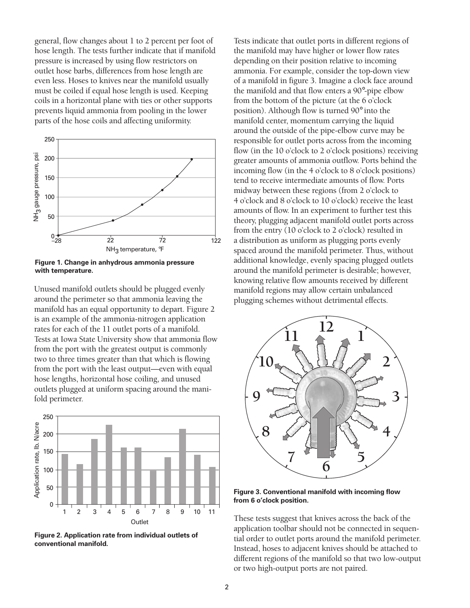general, flow changes about 1 to 2 percent per foot of hose length. The tests further indicate that if manifold pressure is increased by using flow restrictors on outlet hose barbs, differences from hose length are even less. Hoses to knives near the manifold usually must be coiled if equal hose length is used. Keeping coils in a horizontal plane with ties or other supports prevents liquid ammonia from pooling in the lower parts of the hose coils and affecting uniformity.



**Figure 1. Change in anhydrous ammonia pressure with temperature.** 

Unused manifold outlets should be plugged evenly around the perimeter so that ammonia leaving the manifold has an equal opportunity to depart. Figure 2 is an example of the ammonia-nitrogen application rates for each of the 11 outlet ports of a manifold. Tests at Iowa State University show that ammonia flow from the port with the greatest output is commonly two to three times greater than that which is flowing from the port with the least output—even with equal hose lengths, horizontal hose coiling, and unused outlets plugged at uniform spacing around the manifold perimeter.



Tests indicate that outlet ports in different regions of the manifold may have higher or lower flow rates depending on their position relative to incoming ammonia. For example, consider the top-down view of a manifold in figure 3. Imagine a clock face around the manifold and that flow enters a 90°-pipe elbow from the bottom of the picture (at the 6 o'clock position). Although flow is turned 90° into the manifold center, momentum carrying the liquid around the outside of the pipe-elbow curve may be responsible for outlet ports across from the incoming flow (in the 10 o'clock to 2 o'clock positions) receiving greater amounts of ammonia outflow. Ports behind the incoming flow (in the 4 o'clock to 8 o'clock positions) tend to receive intermediate amounts of flow. Ports midway between these regions (from 2 o'clock to 4 o'clock and 8 o'clock to 10 o'clock) receive the least amounts of flow. In an experiment to further test this theory, plugging adjacent manifold outlet ports across from the entry (10 o'clock to 2 o'clock) resulted in a distribution as uniform as plugging ports evenly spaced around the manifold perimeter. Thus, without additional knowledge, evenly spacing plugged outlets around the manifold perimeter is desirable; however, knowing relative flow amounts received by different manifold regions may allow certain unbalanced plugging schemes without detrimental effects.



**Figure 3. Conventional manifold with incoming flow from 6 o'clock position.**

These tests suggest that knives across the back of the application toolbar should not be connected in sequen-Figure 2. Application rate from individual outlets of<br>
tial order to outlet ports around the manifold perimeter.<br>
Instead, hoses to adjacent knives should be attached to different regions of the manifold so that two low-output or two high-output ports are not paired.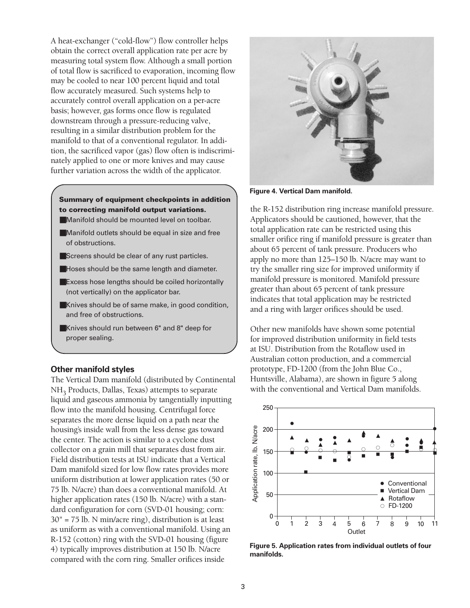A heat-exchanger ("cold-flow") flow controller helps obtain the correct overall application rate per acre by measuring total system flow. Although a small portion of total flow is sacrificed to evaporation, incoming flow may be cooled to near 100 percent liquid and total flow accurately measured. Such systems help to accurately control overall application on a per-acre basis; however, gas forms once flow is regulated downstream through a pressure-reducing valve, resulting in a similar distribution problem for the manifold to that of a conventional regulator. In addition, the sacrificed vapor (gas) flow often is indiscriminately applied to one or more knives and may cause further variation across the width of the applicator.

# **Summary of equipment checkpoints in addition to correcting manifold output variations.**

- $\blacksquare$  Manifold should be mounted level on toolbar.
- $\blacksquare$  Manifold outlets should be equal in size and free of obstructions.
- $\blacksquare$  Screens should be clear of any rust particles.
- $\blacksquare$  Hoses should be the same length and diameter.
- $\blacksquare$  Excess hose lengths should be coiled horizontally (not vertically) on the applicator bar.
- $\blacksquare$  Knives should be of same make, in good condition, and free of obstructions.
- **K**nives should run between 6" and 8" deep for proper sealing.

### **Other manifold styles**

The Vertical Dam manifold (distributed by Continental NH3 Products, Dallas, Texas) attempts to separate liquid and gaseous ammonia by tangentially inputting flow into the manifold housing. Centrifugal force separates the more dense liquid on a path near the housing's inside wall from the less dense gas toward the center. The action is similar to a cyclone dust collector on a grain mill that separates dust from air. Field distribution tests at ISU indicate that a Vertical Dam manifold sized for low flow rates provides more uniform distribution at lower application rates (50 or 75 lb. N/acre) than does a conventional manifold. At higher application rates (150 lb. N/acre) with a standard configuration for corn (SVD-01 housing; corn: 30" = 75 lb. N min/acre ring), distribution is at least as uniform as with a conventional manifold. Using an R-152 (cotton) ring with the SVD-01 housing (figure<br>
4) typically improves distribution at 150 lb. N/acre<br>
compared with the corn ring. Smaller orifices inside<br> **Figure 5. Application rates from individual outlets of four** 



**Figure 4. Vertical Dam manifold.** 

the R-152 distribution ring increase manifold pressure. Applicators should be cautioned, however, that the total application rate can be restricted using this smaller orifice ring if manifold pressure is greater than about 65 percent of tank pressure. Producers who apply no more than 125–150 lb. N/acre may want to try the smaller ring size for improved uniformity if manifold pressure is monitored. Manifold pressure greater than about 65 percent of tank pressure indicates that total application may be restricted and a ring with larger orifices should be used.

Other new manifolds have shown some potential for improved distribution uniformity in field tests at ISU. Distribution from the Rotaflow used in Australian cotton production, and a commercial prototype, FD-1200 (from the John Blue Co., Huntsville, Alabama), are shown in figure 5 along with the conventional and Vertical Dam manifolds.